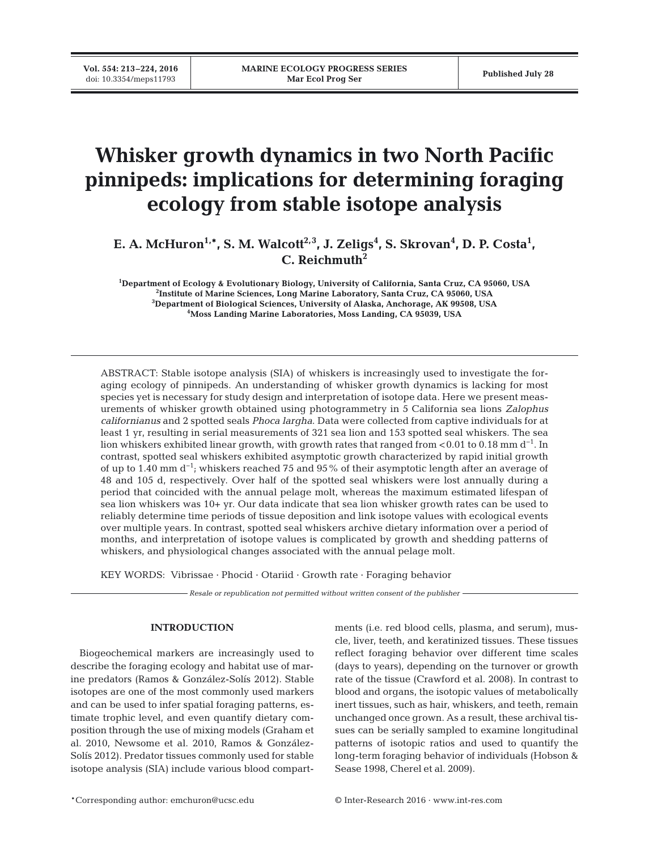**Vol. 554: 213–224, 2016**

# **Whisker growth dynamics in two North Pacific pinnipeds: implications for determining foraging ecology from stable isotope analysis**

E. A. McHuron<sup>1,\*</sup>, S. M. Walcott<sup>2,3</sup>, J. Zeligs<sup>4</sup>, S. Skrovan<sup>4</sup>, D. P. Costa<sup>1</sup>, **C. Reichmuth2**

 **Department of Ecology & Evolutionary Biology, University of California, Santa Cruz, CA 95060, USA Institute of Marine Sciences, Long Marine Laboratory, Santa Cruz, CA 95060, USA Department of Biological Sciences, University of Alaska, Anchorage, AK 99508, USA Moss Landing Marine Laboratories, Moss Landing, CA 95039, USA**

ABSTRACT: Stable isotope analysis (SIA) of whiskers is increasingly used to investigate the foraging ecology of pinnipeds. An understanding of whisker growth dynamics is lacking for most species yet is necessary for study design and interpretation of isotope data. Here we present measurements of whisker growth obtained using photogrammetry in 5 California sea lions *Zalophus californianus* and 2 spotted seals *Phoca largha*. Data were collected from captive individuals for at least 1 yr, resulting in serial measurements of 321 sea lion and 153 spotted seal whiskers. The sea lion whiskers exhibited linear growth, with growth rates that ranged from <0.01 to 0.18 mm  $d^{-1}$ . In contrast, spotted seal whiskers exhibited asymptotic growth characterized by rapid initial growth of up to 1.40 mm d<sup>-1</sup>; whiskers reached 75 and 95% of their asymptotic length after an average of 48 and 105 d, respectively. Over half of the spotted seal whiskers were lost annually during a period that coincided with the annual pelage molt, whereas the maximum estimated lifespan of sea lion whiskers was 10+ yr. Our data indicate that sea lion whisker growth rates can be used to reliably determine time periods of tissue deposition and link isotope values with ecological events over multiple years. In contrast, spotted seal whiskers archive dietary information over a period of months, and interpretation of isotope values is complicated by growth and shedding patterns of whiskers, and physiological changes associated with the annual pelage molt.

KEY WORDS: Vibrissae · Phocid · Otariid · Growth rate · Foraging behavior

*Resale or republication not permitted without written consent of the publisher*

## **INTRODUCTION**

Biogeochemical markers are increasingly used to describe the foraging ecology and habitat use of marine predators (Ramos & González-Solís 2012). Stable isotopes are one of the most commonly used markers and can be used to infer spatial foraging patterns, estimate trophic level, and even quantify dietary composition through the use of mixing models (Graham et al. 2010, Newsome et al. 2010, Ramos & González-Solís 2012). Predator tissues commonly used for stable isotope analysis (SIA) include various blood compartments (i.e. red blood cells, plasma, and serum), muscle, liver, teeth, and keratinized tissues. These tissues reflect foraging behavior over different time scales (days to years), depending on the turnover or growth rate of the tissue (Crawford et al. 2008). In contrast to blood and organs, the isotopic values of metabolically inert tissues, such as hair, whiskers, and teeth, remain unchanged once grown. As a result, these archival tissues can be serially sampled to examine longitudinal patterns of isotopic ratios and used to quantify the long-term foraging behavior of individuals (Hobson & Sease 1998, Cherel et al. 2009).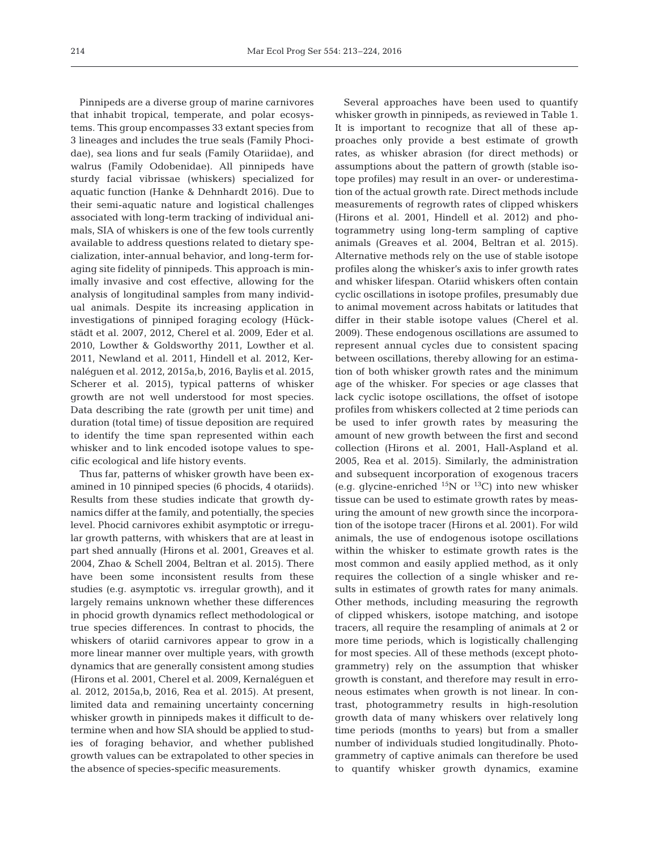Pinnipeds are a diverse group of marine carnivores that inhabit tropical, temperate, and polar ecosystems. This group encompasses 33 extant species from 3 lineages and includes the true seals (Family Phocidae), sea lions and fur seals (Family Otariidae), and walrus (Family Odobenidae). All pinnipeds have sturdy facial vibrissae (whiskers) specialized for aquatic function (Hanke & Dehnhardt 2016). Due to their semi-aquatic nature and logistical challenges associated with long-term tracking of individual animals, SIA of whiskers is one of the few tools currently available to address questions related to dietary specialization, inter-annual behavior, and long-term foraging site fidelity of pinnipeds. This approach is minimally invasive and cost effective, allowing for the analysis of longitudinal samples from many individual animals. Despite its increasing application in investigations of pinniped foraging ecology (Hückstädt et al. 2007, 2012, Cherel et al. 2009, Eder et al. 2010, Lowther & Goldsworthy 2011, Lowther et al. 2011, Newland et al. 2011, Hindell et al. 2012, Kernaléguen et al. 2012, 2015a,b, 2016, Baylis et al. 2015, Scherer et al. 2015), typical patterns of whisker growth are not well understood for most species. Data describing the rate (growth per unit time) and duration (total time) of tissue deposition are required to identify the time span represented within each whisker and to link encoded isotope values to specific ecological and life history events.

Thus far, patterns of whisker growth have been examined in 10 pinniped species (6 phocids, 4 otariids). Results from these studies indicate that growth dynamics differ at the family, and potentially, the species level. Phocid carnivores exhibit asymptotic or irregular growth patterns, with whiskers that are at least in part shed annually (Hirons et al. 2001, Greaves et al. 2004, Zhao & Schell 2004, Beltran et al. 2015). There have been some inconsistent results from these studies (e.g. asymptotic vs. irregular growth), and it largely remains unknown whether these differences in phocid growth dynamics reflect methodological or true species differences. In contrast to phocids, the whiskers of otariid carnivores appear to grow in a more linear manner over multiple years, with growth dynamics that are generally consistent among studies (Hirons et al. 2001, Cherel et al. 2009, Kernaléguen et al. 2012, 2015a,b, 2016, Rea et al. 2015). At present, limited data and remaining uncertainty concerning whisker growth in pinnipeds makes it difficult to determine when and how SIA should be applied to studies of foraging behavior, and whether published growth values can be extrapolated to other species in the absence of species-specific measurements.

Several approaches have been used to quantify whisker growth in pinnipeds, as reviewed in Table 1. It is important to recognize that all of these approaches only provide a best estimate of growth rates, as whisker abrasion (for direct methods) or assumptions about the pattern of growth (stable isotope profiles) may result in an over- or underestimation of the actual growth rate. Direct methods include measurements of regrowth rates of clipped whiskers (Hirons et al. 2001, Hindell et al. 2012) and photogrammetry using long-term sampling of captive animals (Greaves et al. 2004, Beltran et al. 2015). Alternative methods rely on the use of stable isotope profiles along the whisker's axis to infer growth rates and whisker lifespan. Otariid whiskers often contain cyclic oscillations in isotope profiles, presumably due to animal movement across habitats or latitudes that differ in their stable isotope values (Cherel et al. 2009). These endogenous oscillations are assumed to represent annual cycles due to consistent spacing between oscillations, thereby allowing for an estimation of both whisker growth rates and the minimum age of the whisker. For species or age classes that lack cyclic isotope oscillations, the offset of isotope profiles from whiskers collected at 2 time periods can be used to infer growth rates by measuring the amount of new growth between the first and second collection (Hirons et al. 2001, Hall-Aspland et al. 2005, Rea et al. 2015). Similarly, the administration and subsequent incorporation of exogenous tracers (e.g. glycine-enriched  $^{15}N$  or  $^{13}C$ ) into new whisker tissue can be used to estimate growth rates by measuring the amount of new growth since the incorporation of the isotope tracer (Hirons et al. 2001). For wild animals, the use of endogenous isotope oscillations within the whisker to estimate growth rates is the most common and easily applied method, as it only requires the collection of a single whisker and results in estimates of growth rates for many animals. Other methods, including measuring the regrowth of clipped whiskers, isotope matching, and isotope tracers, all require the resampling of animals at 2 or more time periods, which is logistically challenging for most species. All of these methods (except photo gram metry) rely on the assumption that whisker growth is constant, and therefore may result in erroneous estimates when growth is not linear. In contrast, photogrammetry results in high-resolution growth data of many whiskers over relatively long time periods (months to years) but from a smaller number of individuals studied longitudinally. Photo gram metry of captive animals can therefore be used to quantify whisker growth dynamics, examine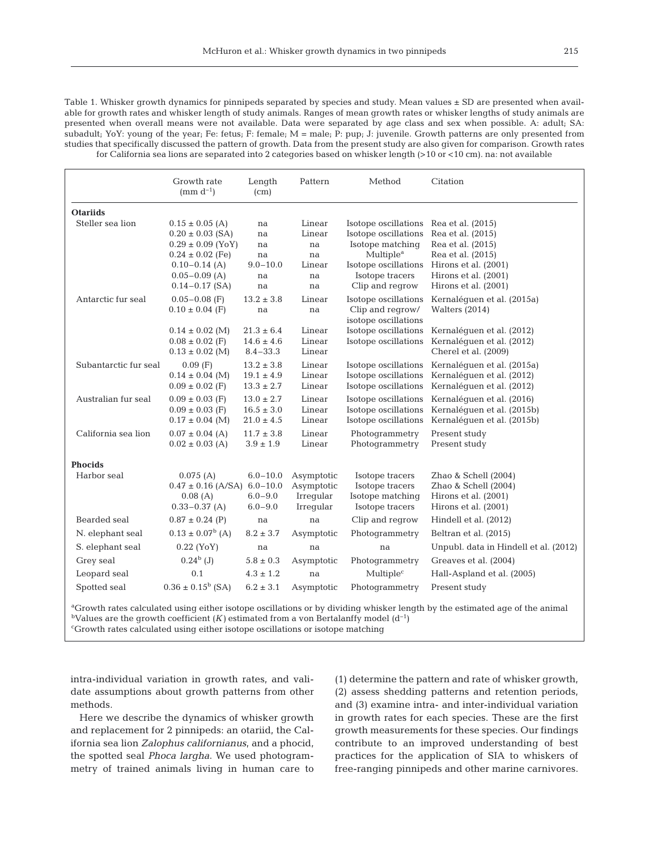Table 1. Whisker growth dynamics for pinnipeds separated by species and study. Mean values ± SD are presented when available for growth rates and whisker length of study animals. Ranges of mean growth rates or whisker lengths of study animals are presented when overall means were not available. Data were separated by age class and sex when possible. A: adult; SA: subadult; YoY: young of the year; Fe: fetus; F: female; M = male; P: pup; J: juvenile. Growth patterns are only presented from studies that specifically discussed the pattern of growth. Data from the present study are also given for comparison. Growth rates for California sea lions are separated into 2 categories based on whisker length (>10 or <10 cm). na: not available

|                                                                                                                                         | Growth rate<br>(mm $d^{-1}$ )                                                                | Length<br>(cm)                                     | Pattern                                            | Method                                                                                    | Citation                                                                                     |  |  |  |  |  |
|-----------------------------------------------------------------------------------------------------------------------------------------|----------------------------------------------------------------------------------------------|----------------------------------------------------|----------------------------------------------------|-------------------------------------------------------------------------------------------|----------------------------------------------------------------------------------------------|--|--|--|--|--|
| <b>Otariids</b>                                                                                                                         |                                                                                              |                                                    |                                                    |                                                                                           |                                                                                              |  |  |  |  |  |
| Steller sea lion                                                                                                                        | $0.15 \pm 0.05$ (A)<br>$0.20 \pm 0.03$ (SA)<br>$0.29 \pm 0.09$ (YoY)<br>$0.24 \pm 0.02$ (Fe) | na<br>na<br>na<br>na                               | Linear<br>Linear<br>na<br>na                       | Isotope oscillations<br>Isotope oscillations<br>Isotope matching<br>Multiple <sup>a</sup> | Rea et al. (2015)<br>Rea et al. (2015)<br>Rea et al. (2015)<br>Rea et al. (2015)             |  |  |  |  |  |
|                                                                                                                                         | $0.10 - 0.14$ (A)<br>$0.05 - 0.09$ (A)<br>$0.14 - 0.17$ (SA)                                 | $9.0 - 10.0$<br>na<br>na                           | Linear<br>na<br>na                                 | Isotope oscillations<br>Isotope tracers<br>Clip and regrow                                | Hirons et al. (2001)<br>Hirons et al. (2001)<br>Hirons et al. (2001)                         |  |  |  |  |  |
| Antarctic fur seal                                                                                                                      | $0.05 - 0.08$ (F)<br>$0.10 \pm 0.04$ (F)                                                     | $13.2 \pm 3.8$<br>na                               | Linear<br>na                                       | Isotope oscillations<br>Clip and regrow/<br>isotope oscillations                          | Kernaléquen et al. (2015a)<br>Walters $(2014)$                                               |  |  |  |  |  |
|                                                                                                                                         | $0.14 \pm 0.02$ (M)<br>$0.08 \pm 0.02$ (F)<br>$0.13 \pm 0.02$ (M)                            | $21.3 \pm 6.4$<br>$14.6 \pm 4.6$<br>$8.4 - 33.3$   | Linear<br>Linear<br>Linear                         | Isotope oscillations<br>Isotope oscillations                                              | Kernaléquen et al. (2012)<br>Kernaléquen et al. (2012)<br>Cherel et al. (2009)               |  |  |  |  |  |
| Subantarctic fur seal                                                                                                                   | $0.09$ (F)<br>$0.14 \pm 0.04$ (M)<br>$0.09 \pm 0.02$ (F)                                     | $13.2 \pm 3.8$<br>$19.1 \pm 4.9$<br>$13.3 \pm 2.7$ | Linear<br>Linear<br>Linear                         | Isotope oscillations<br>Isotope oscillations<br>Isotope oscillations                      | Kernaléquen et al. (2015a)<br>Kernaléguen et al. (2012)<br>Kernaléguen et al. (2012)         |  |  |  |  |  |
| Australian fur seal                                                                                                                     | $0.09 \pm 0.03$ (F)<br>$0.09 \pm 0.03$ (F)<br>$0.17 \pm 0.04$ (M)                            | $13.0 \pm 2.7$<br>$16.5 \pm 3.0$<br>$21.0 \pm 4.5$ | Linear<br>Linear<br>Linear                         | Isotope oscillations<br>Isotope oscillations<br>Isotope oscillations                      | Kernaléguen et al. (2016)<br>Kernaléquen et al. (2015b)<br>Kernaléguen et al. (2015b)        |  |  |  |  |  |
| California sea lion                                                                                                                     | $0.07 \pm 0.04$ (A)<br>$0.02 \pm 0.03$ (A)                                                   | $11.7 \pm 3.8$<br>$3.9 \pm 1.9$                    | Linear<br>Linear                                   | Photogrammetry<br>Photogrammetry                                                          | Present study<br>Present study                                                               |  |  |  |  |  |
| <b>Phocids</b>                                                                                                                          |                                                                                              |                                                    |                                                    |                                                                                           |                                                                                              |  |  |  |  |  |
| Harbor seal                                                                                                                             | 0.075(A)<br>$0.47 \pm 0.16$ (A/SA) 6.0-10.0<br>0.08(A)<br>$0.33 - 0.37$ (A)                  | $6.0 - 10.0$<br>$6.0 - 9.0$<br>$6.0 - 9.0$         | Asymptotic<br>Asymptotic<br>Irregular<br>Irregular | Isotope tracers<br>Isotope tracers<br>Isotope matching<br>Isotope tracers                 | Zhao & Schell (2004)<br>Zhao & Schell (2004)<br>Hirons et al. (2001)<br>Hirons et al. (2001) |  |  |  |  |  |
| Bearded seal                                                                                                                            | $0.87 \pm 0.24$ (P)                                                                          | na                                                 | na                                                 | Clip and regrow                                                                           | Hindell et al. (2012)                                                                        |  |  |  |  |  |
| N. elephant seal                                                                                                                        | $0.13 \pm 0.07^b$ (A)                                                                        | $8.2 \pm 3.7$                                      | Asymptotic                                         | Photogrammetry                                                                            | Beltran et al. (2015)                                                                        |  |  |  |  |  |
| S. elephant seal                                                                                                                        | $0.22$ (YoY)                                                                                 | na                                                 | na                                                 | na                                                                                        | Unpubl. data in Hindell et al. (2012)                                                        |  |  |  |  |  |
| Grey seal                                                                                                                               | $0.24^{\rm b}$ (J)                                                                           | $5.8 \pm 0.3$                                      | Asymptotic                                         | Photogrammetry                                                                            | Greaves et al. (2004)                                                                        |  |  |  |  |  |
| Leopard seal                                                                                                                            | 0.1                                                                                          | $4.3 \pm 1.2$                                      | na                                                 | Multiple <sup>c</sup>                                                                     | Hall-Aspland et al. (2005)                                                                   |  |  |  |  |  |
| Spotted seal                                                                                                                            | $0.36 \pm 0.15^b$ (SA)                                                                       | $6.2 \pm 3.1$                                      | Asymptotic                                         | Photogrammetry                                                                            | Present study                                                                                |  |  |  |  |  |
| <sup>a</sup> Growth rates calculated using either isotope oscillations or by dividing whisker length by the estimated age of the animal |                                                                                              |                                                    |                                                    |                                                                                           |                                                                                              |  |  |  |  |  |

<sup>b</sup>Values are the growth coefficient  $(K)$  estimated from a von Bertalanffy model  $(d^{-1})$ c Growth rates calculated using either isotope oscillations or isotope matching

intra-individual variation in growth rates, and validate assumptions about growth patterns from other methods.

Here we describe the dynamics of whisker growth and replacement for 2 pinnipeds: an otariid, the California sea lion *Zalophus californianus*, and a phocid, the spotted seal *Phoca largha*. We used photogrammetry of trained animals living in human care to

(1) determine the pattern and rate of whisker growth, (2) assess shedding patterns and retention periods, and (3) examine intra- and inter-individual variation in growth rates for each species. These are the first growth measurements for these species. Our findings contribute to an improved understanding of best practices for the application of SIA to whiskers of free-ranging pinnipeds and other marine carnivores.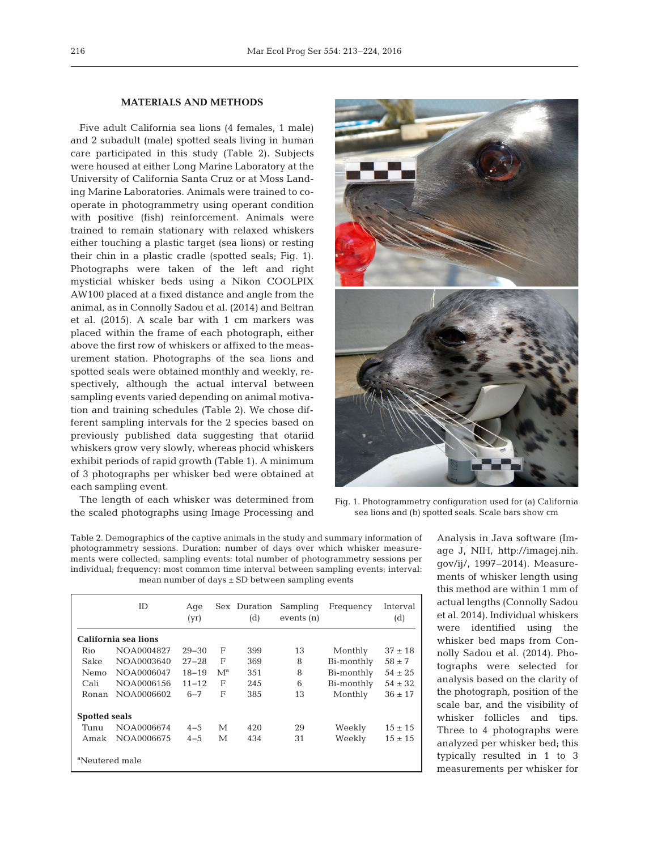## **MATERIALS AND METHODS**

Five adult California sea lions (4 females, 1 male) and 2 subadult (male) spotted seals living in human care participated in this study (Table 2). Subjects were housed at either Long Marine Laboratory at the University of California Santa Cruz or at Moss Landing Marine Laboratories. Animals were trained to cooperate in photogrammetry using operant condition with positive (fish) reinforcement. Animals were trained to remain stationary with relaxed whiskers either touching a plastic target (sea lions) or resting their chin in a plastic cradle (spotted seals; Fig. 1). Photographs were taken of the left and right mysticial whisker beds using a Nikon COOLPIX AW100 placed at a fixed distance and angle from the animal, as in Connolly Sadou et al. (2014) and Beltran et al. (2015). A scale bar with 1 cm markers was placed within the frame of each photograph, either above the first row of whiskers or affixed to the measurement station. Photographs of the sea lions and spotted seals were obtained monthly and weekly, respectively, although the actual interval between sampling events varied depending on animal motivation and training schedules (Table 2). We chose different sampling intervals for the 2 species based on previously published data suggesting that otariid whiskers grow very slowly, whereas phocid whiskers exhibit periods of rapid growth (Table 1). A minimum of 3 photographs per whisker bed were obtained at each sampling event.

The length of each whisker was determined from the scaled photographs using Image Processing and



Fig. 1. Photogrammetry configuration used for (a) California sea lions and (b) spotted seals. Scale bars show cm

Table 2. Demographics of the captive animals in the study and summary information of photogrammetry sessions. Duration: number of days over which whisker measurements were collected; sampling events: total number of photogrammetry sessions per individual; frequency: most common time interval between sampling events; interval: mean number of days ± SD between sampling events

|                            | ID         | Age<br>(yr) |       | Sex Duration<br>(d) | Sampling<br>events (n) | Frequency  | Interval<br>(d) |  |  |  |
|----------------------------|------------|-------------|-------|---------------------|------------------------|------------|-----------------|--|--|--|
| California sea lions       |            |             |       |                     |                        |            |                 |  |  |  |
| Rio                        | NOA0004827 | $29 - 30$   | F     | 399                 | 13                     | Monthly    | $37 \pm 18$     |  |  |  |
| Sake                       | NOA0003640 | $27 - 28$   | F     | 369                 | 8                      | Bi-monthly | $58 \pm 7$      |  |  |  |
| Nemo                       | NOA0006047 | $18 - 19$   | $M^a$ | 351                 | 8                      | Bi-monthly | $54 \pm 25$     |  |  |  |
| Cali                       | NOA0006156 | $11 - 12$   | F     | 245                 | 6                      | Bi-monthly | $54 \pm 32$     |  |  |  |
| Ronan                      | NOA0006602 | $6 - 7$     | F     | 385                 | 13                     | Monthly    | $36 \pm 17$     |  |  |  |
| <b>Spotted seals</b>       |            |             |       |                     |                        |            |                 |  |  |  |
| Tunu                       | NOA0006674 | $4 - 5$     | М     | 420                 | 29                     | Weekly     | $15 \pm 15$     |  |  |  |
| Amak                       | NOA0006675 | $4 - 5$     | М     | 434                 | 31                     | Weekly     | $15 \pm 15$     |  |  |  |
| <sup>a</sup> Neutered male |            |             |       |                     |                        |            |                 |  |  |  |

Analysis in Java software (Image J, NIH, http://imagej.nih. gov/ij/, 1997− 2014). Measurements of whisker length using this method are within 1 mm of actual lengths (Connolly Sadou et al. 2014). Individual whiskers were identified using the whisker bed maps from Connolly Sadou et al. (2014). Photographs were selected for analysis based on the clarity of the photograph, position of the scale bar, and the visibility of whisker follicles and tips. Three to 4 photographs were analyzed per whisker bed; this typically resulted in 1 to 3 measurements per whisker for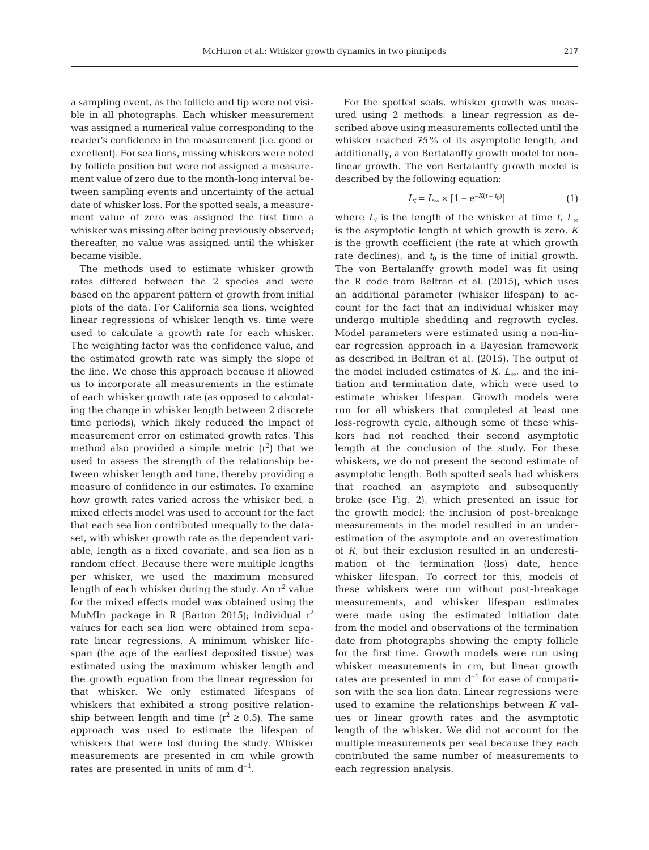a sampling event, as the follicle and tip were not visible in all photographs. Each whisker measurement was assigned a numerical value corresponding to the reader's confidence in the measurement (i.e. good or excellent). For sea lions, missing whiskers were noted by follicle position but were not assigned a measurement value of zero due to the month-long interval between sampling events and uncertainty of the actual date of whisker loss. For the spotted seals, a measurement value of zero was assigned the first time a whisker was missing after being previously observed; thereafter, no value was assigned until the whisker became visible.

The methods used to estimate whisker growth rates differed between the 2 species and were based on the apparent pattern of growth from initial plots of the data. For California sea lions, weighted linear regressions of whisker length vs. time were used to calculate a growth rate for each whisker. The weighting factor was the confidence value, and the estimated growth rate was simply the slope of the line. We chose this approach because it allowed us to incorporate all measurements in the estimate of each whisker growth rate (as opposed to calculating the change in whisker length between 2 discrete time periods), which likely reduced the impact of measurement error on estimated growth rates. This method also provided a simple metric  $(r^2)$  that we used to assess the strength of the relationship be tween whisker length and time, thereby providing a measure of confidence in our estimates. To examine how growth rates varied across the whisker bed, a mixed effects model was used to account for the fact that each sea lion contributed unequally to the dataset, with whisker growth rate as the dependent variable, length as a fixed covariate, and sea lion as a random effect. Because there were multiple lengths per whisker, we used the maximum measured length of each whisker during the study. An  $r^2$  value for the mixed effects model was obtained using the MuMIn package in R (Barton 2015); individual  $r^2$ values for each sea lion were obtained from separate linear regressions. A minimum whisker lifespan (the age of the earliest deposited tissue) was estimated using the maximum whisker length and the growth equation from the linear regression for that whisker. We only estimated lifespans of whiskers that exhibited a strong positive relationship between length and time  $(r^2 \ge 0.5)$ . The same ap proach was used to estimate the lifespan of whiskers that were lost during the study. Whisker measurements are presented in cm while growth rates are presented in units of mm  $d^{-1}$ .

For the spotted seals, whisker growth was measured using 2 methods: a linear regression as described above using measurements collected until the whisker reached 75% of its asymptotic length, and additionally, a von Bertalanffy growth model for nonlinear growth. The von Bertalanffy growth model is described by the following equation:

$$
L_t = L_\infty \times [1 - e^{-K(t - t_0)}]
$$
\n<sup>(1)</sup>

where  $L_t$  is the length of the whisker at time  $t$ ,  $L_{\infty}$ is the asymptotic length at which growth is zero, *K* is the growth coefficient (the rate at which growth rate declines), and  $t_0$  is the time of initial growth. The von Bertalanffy growth model was fit using the R code from Beltran et al. (2015), which uses an additional parameter (whisker lifespan) to ac count for the fact that an individual whisker may undergo multiple shedding and regrowth cycles. Model parameters were estimated using a non-linear regression approach in a Bayesian framework as described in Beltran et al. (2015). The output of the model included estimates of  $K$ ,  $L_{\infty}$  and the initiation and termination date, which were used to estimate whisker lifespan. Growth models were run for all whiskers that completed at least one loss-regrowth cycle, although some of these whiskers had not reached their second asymptotic length at the conclusion of the study. For these whiskers, we do not present the second estimate of asymptotic length. Both spotted seals had whiskers that reached an asymptote and subsequently broke (see Fig. 2), which presented an issue for the growth model; the inclusion of post-breakage measurements in the model resulted in an underestimation of the asymptote and an overestimation of *K*, but their exclusion resulted in an underestimation of the termination (loss) date, hence whisker lifespan. To correct for this, models of these whiskers were run without post-breakage measurements, and whisker lifespan estimates were made using the estimated initiation date from the model and observations of the termination date from photographs showing the empty follicle for the first time. Growth models were run using whisker measurements in cm, but linear growth rates are presented in mm  $d^{-1}$  for ease of comparison with the sea lion data. Linear regressions were used to examine the relationships between *K* values or linear growth rates and the asymptotic length of the whisker. We did not account for the multiple measurements per seal because they each contributed the same number of measurements to each regression analysis.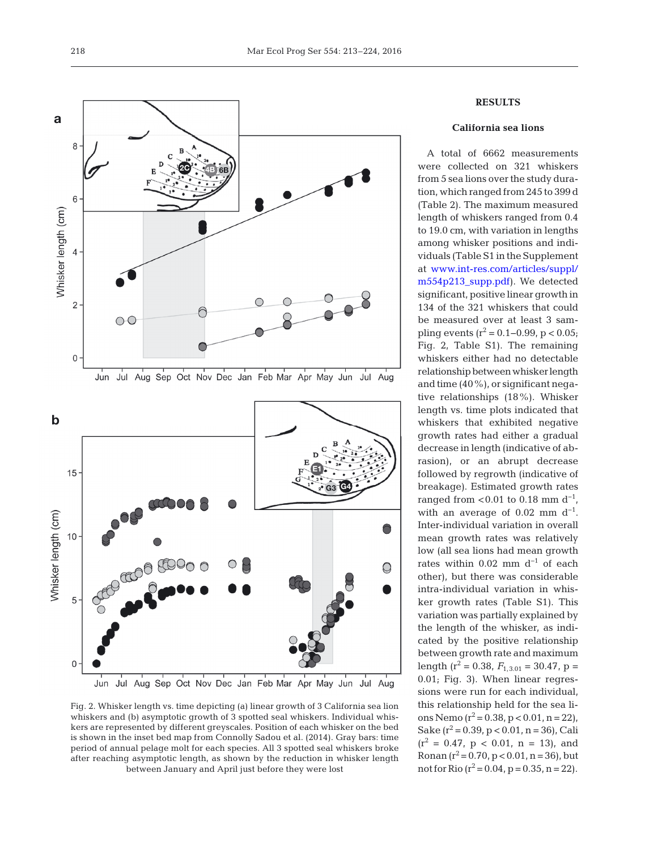

Jun Jul Aug Sep Oct Nov Dec Jan Feb Mar Apr May Jun Jul Aug

Fig. 2. Whisker length vs. time depicting (a) linear growth of 3 California sea lion whiskers and (b) asymptotic growth of 3 spotted seal whiskers. Individual whiskers are represented by different greyscales. Position of each whisker on the bed is shown in the inset bed map from Connolly Sadou et al. (2014). Gray bars: time period of annual pelage molt for each species. All 3 spotted seal whiskers broke after reaching asymptotic length, as shown by the reduction in whisker length between January and April just before they were lost

# **RESULTS**

### **California sea lions**

A total of 6662 measurements were collected on 321 whiskers from 5 sea lions over the study duration, which ranged from 245 to 399 d (Table 2). The maximum measured length of whiskers ranged from 0.4 to 19.0 cm, with variation in lengths among whisker positions and individuals (Table S1 in the Supplement at www.int-res.com/articles/suppl/ m554p213\_supp.pdf). We detected significant, positive linear growth in 134 of the 321 whiskers that could be measured over at least 3 sampling events ( $r^2$  = 0.1–0.99, p < 0.05; Fig. 2, Table S1). The remaining whiskers either had no detectable relationship between whisker length and time (40%), or significant negative relationships  $(18\%)$ . Whisker length vs. time plots indicated that whiskers that exhibited negative growth rates had either a gradual decrease in length (indicative of ab rasion), or an abrupt decrease followed by regrowth (indicative of breakage). Estimated growth rates ranged from <0.01 to 0.18 mm  $d^{-1}$ , with an average of  $0.02$  mm d<sup>-1</sup>. Inter-individual variation in overall mean growth rates was relatively low (all sea lions had mean growth rates within  $0.02$  mm d<sup>-1</sup> of each other), but there was considerable intra-individual variation in whis ker growth rates (Table S1). This variation was partially explained by the length of the whisker, as indicated by the positive relationship between growth rate and maximum length ( $r^2$  = 0.38,  $F_{1,3.01}$  = 30.47, p = 0.01; Fig. 3). When linear regressions were run for each individual, this relationship held for the sea lions Nemo  $(r^2 = 0.38, p < 0.01, n = 22)$ , Sake  $(r^2 = 0.39, p < 0.01, n = 36)$ , Cali  $(r^2 = 0.47, p < 0.01, n = 13)$ , and Ronan  $(r^2 = 0.70, p < 0.01, n = 36)$ , but not for Rio  $(r^2 = 0.04, p = 0.35, n = 22)$ .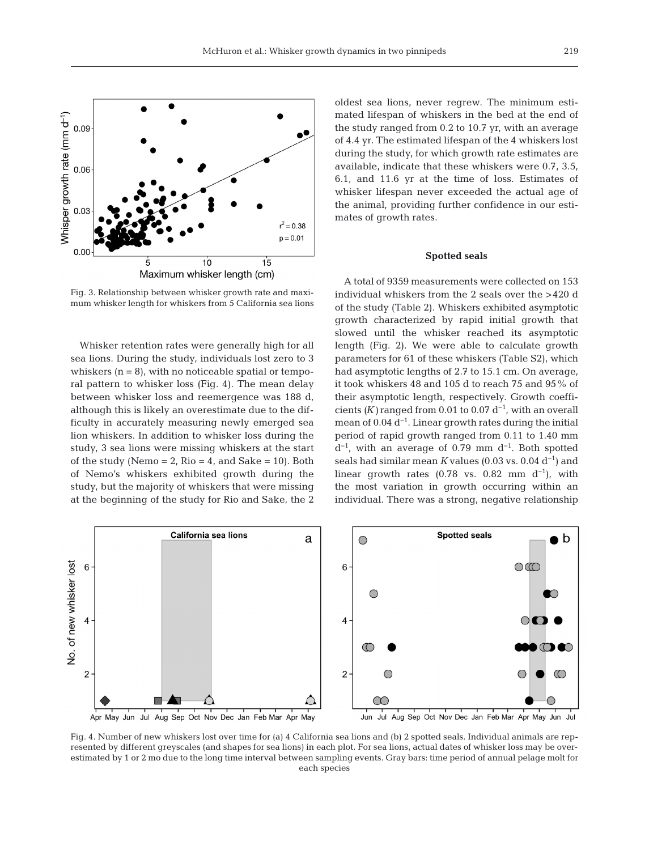

Fig. 3. Relationship between whisker growth rate and maximum whisker length for whiskers from 5 California sea lions

Whisker retention rates were generally high for all sea lions. During the study, individuals lost zero to 3 whiskers  $(n = 8)$ , with no noticeable spatial or temporal pattern to whisker loss (Fig. 4). The mean delay between whisker loss and reemergence was 188 d, although this is likely an overestimate due to the difficulty in accurately measuring newly emerged sea lion whiskers. In addition to whisker loss during the study, 3 sea lions were missing whiskers at the start of the study (Nemo = 2, Rio = 4, and Sake = 10). Both of Nemo's whiskers exhibited growth during the study, but the majority of whiskers that were missing at the beginning of the study for Rio and Sake, the 2 oldest sea lions, never regrew. The minimum estimated lifespan of whiskers in the bed at the end of the study ranged from 0.2 to 10.7 yr, with an average of 4.4 yr. The estimated lifespan of the 4 whiskers lost during the study, for which growth rate estimates are available, indicate that these whiskers were 0.7, 3.5, 6.1, and 11.6 yr at the time of loss. Estimates of whisker lifespan never exceeded the actual age of the animal, providing further confidence in our estimates of growth rates.

### **Spotted seals**

A total of 9359 measurements were collected on 153 individual whiskers from the 2 seals over the >420 d of the study (Table 2). Whiskers exhibited asymptotic growth characterized by rapid initial growth that slowed until the whisker reached its asymptotic length (Fig. 2). We were able to calculate growth parameters for 61 of these whiskers (Table S2), which had asymptotic lengths of 2.7 to 15.1 cm. On average, it took whiskers 48 and 105 d to reach 75 and 95% of their asymptotic length, respectively. Growth coefficients  $(K)$  ranged from 0.01 to 0.07 d<sup>-1</sup>, with an overall mean of 0.04 d−1. Linear growth rates during the initial period of rapid growth ranged from 0.11 to 1.40 mm  $d^{-1}$ , with an average of 0.79 mm  $d^{-1}$ . Both spotted seals had similar mean *K* values (0.03 vs. 0.04  $d^{-1}$ ) and linear growth rates (0.78 vs. 0.82 mm  $d^{-1}$ ), with the most variation in growth occurring within an individual. There was a strong, negative relationship



Fig. 4. Number of new whiskers lost over time for (a) 4 California sea lions and (b) 2 spotted seals. Individual animals are represented by different greyscales (and shapes for sea lions) in each plot. For sea lions, actual dates of whisker loss may be overestimated by 1 or 2 mo due to the long time interval between sampling events. Gray bars: time period of annual pelage molt for each species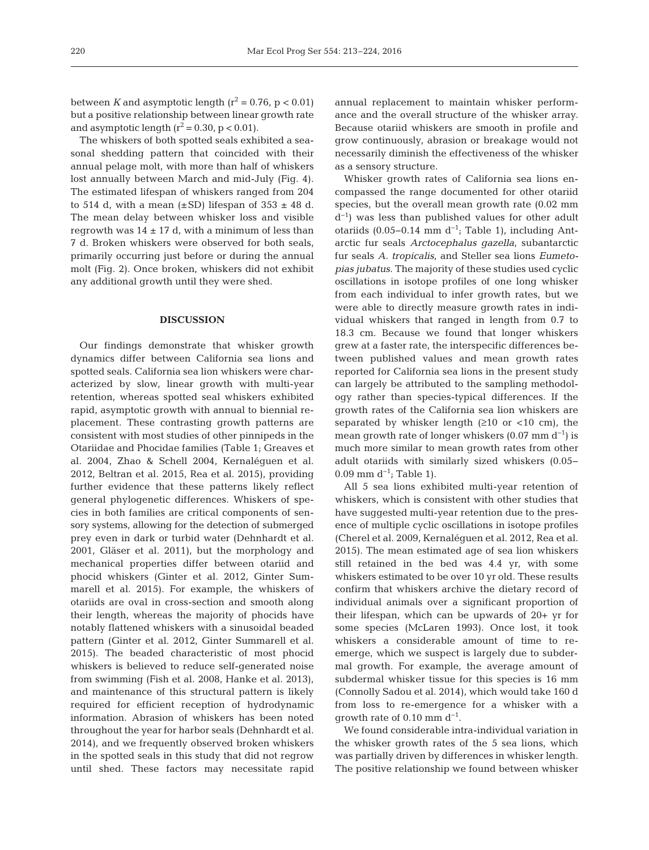between *K* and asymptotic length  $(r^2 = 0.76, p < 0.01)$ but a positive relationship between linear growth rate and asymptotic length  $(r^2 = 0.30, p < 0.01)$ .

The whiskers of both spotted seals exhibited a seasonal shedding pattern that coincided with their annual pelage molt, with more than half of whiskers lost annually between March and mid-July (Fig. 4). The estimated lifespan of whiskers ranged from 204 to 514 d, with a mean  $(\pm SD)$  lifespan of 353  $\pm$  48 d. The mean delay between whisker loss and visible regrowth was  $14 \pm 17$  d, with a minimum of less than 7 d. Broken whiskers were observed for both seals, primarily occurring just before or during the annual molt (Fig. 2). Once broken, whiskers did not exhibit any additional growth until they were shed.

#### **DISCUSSION**

Our findings demonstrate that whisker growth dynamics differ between California sea lions and spotted seals. California sea lion whiskers were characterized by slow, linear growth with multi-year retention, whereas spotted seal whiskers exhibited rapid, asymptotic growth with annual to biennial re placement. These contrasting growth patterns are consistent with most studies of other pinnipeds in the Otariidae and Phocidae families (Table 1; Greaves et al. 2004, Zhao & Schell 2004, Kernaléguen et al. 2012, Beltran et al. 2015, Rea et al. 2015), providing further evidence that these patterns likely reflect general phylogenetic differences. Whiskers of species in both families are critical components of sensory systems, allowing for the detection of submerged prey even in dark or turbid water (Dehnhardt et al. 2001, Gläser et al. 2011), but the morphology and mechanical properties differ between otariid and phocid whiskers (Ginter et al. 2012, Ginter Summarell et al. 2015). For example, the whiskers of otariids are oval in cross-section and smooth along their length, whereas the majority of phocids have notably flattened whiskers with a sinusoidal beaded pattern (Ginter et al. 2012, Ginter Summarell et al. 2015). The beaded characteristic of most phocid whiskers is believed to reduce self-generated noise from swimming (Fish et al. 2008, Hanke et al. 2013), and maintenance of this structural pattern is likely required for efficient reception of hydrodynamic information. Abrasion of whiskers has been noted throughout the year for harbor seals (Dehnhardt et al. 2014), and we frequently observed broken whiskers in the spotted seals in this study that did not regrow until shed. These factors may necessitate rapid

annual replacement to maintain whisker performance and the overall structure of the whisker array. Because otariid whiskers are smooth in profile and grow continuously, abrasion or breakage would not necessarily diminish the effectiveness of the whisker as a sensory structure.

Whisker growth rates of California sea lions encompassed the range documented for other otariid species, but the overall mean growth rate (0.02 mm d−1) was less than published values for other adult otariids (0.05−0.14 mm d<sup>-1</sup>; Table 1), including Antarctic fur seals *Arctocephalus gazella*, subantarctic fur seals *A. tropicalis*, and Steller sea lions *Eumetopias jubatus*. The majority of these studies used cyclic oscillations in isotope profiles of one long whisker from each individual to infer growth rates, but we were able to directly measure growth rates in individual whiskers that ranged in length from 0.7 to 18.3 cm. Because we found that longer whiskers grew at a faster rate, the interspecific differences be tween published values and mean growth rates reported for California sea lions in the present study can largely be attributed to the sampling methodology rather than species-typical differences. If the growth rates of the California sea lion whiskers are separated by whisker length  $(≥10$  or <10 cm), the mean growth rate of longer whiskers  $(0.07 \text{ mm d}^{-1})$  is much more similar to mean growth rates from other adult otariids with similarly sized whiskers (0.05−  $0.09$  mm d<sup>-1</sup>; Table 1).

All 5 sea lions exhibited multi-year retention of whiskers, which is consistent with other studies that have suggested multi-year retention due to the presence of multiple cyclic oscillations in isotope profiles (Cherel et al. 2009, Kernaléguen et al. 2012, Rea et al. 2015). The mean estimated age of sea lion whiskers still retained in the bed was 4.4 yr, with some whiskers estimated to be over 10 yr old. These results confirm that whiskers archive the dietary record of individual animals over a significant proportion of their lifespan, which can be upwards of 20+ yr for some species (McLaren 1993). Once lost, it took whiskers a considerable amount of time to reemerge, which we suspect is largely due to subdermal growth. For example, the average amount of subdermal whisker tissue for this species is 16 mm (Connolly Sadou et al. 2014), which would take 160 d from loss to re-emergence for a whisker with a qrowth rate of  $0.10$  mm d<sup>-1</sup>.

We found considerable intra-individual variation in the whisker growth rates of the 5 sea lions, which was partially driven by differences in whisker length. The positive relationship we found between whisker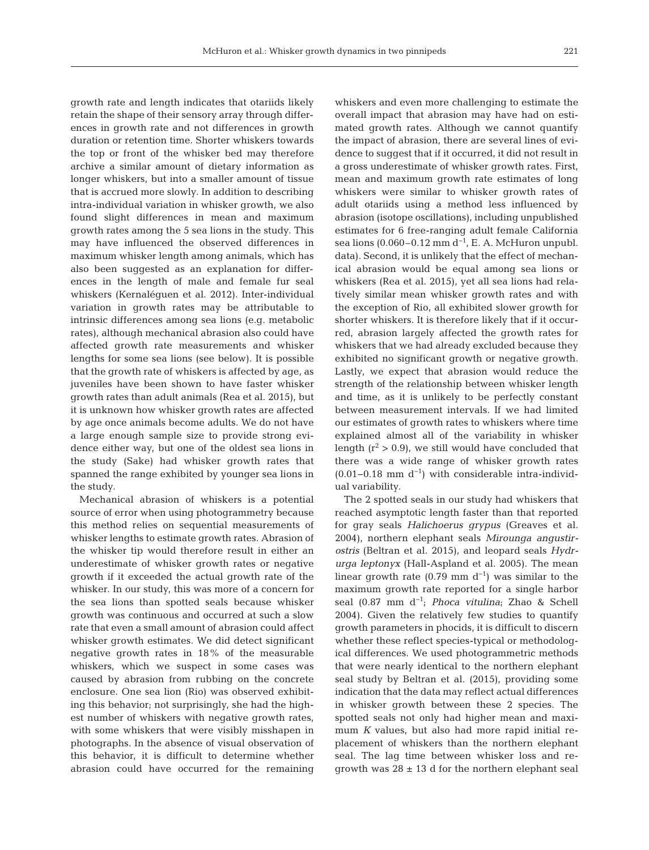growth rate and length indicates that otariids likely retain the shape of their sensory array through differences in growth rate and not differences in growth duration or retention time. Shorter whiskers towards the top or front of the whisker bed may therefore archive a similar amount of dietary information as longer whiskers, but into a smaller amount of tissue that is accrued more slowly. In addition to describing intra-individual variation in whisker growth, we also found slight differences in mean and maximum growth rates among the 5 sea lions in the study. This may have influenced the observed differences in maximum whisker length among animals, which has also been suggested as an explanation for differences in the length of male and female fur seal whiskers (Kernaléguen et al. 2012). Inter-individual variation in growth rates may be attributable to intrinsic differences among sea lions (e.g. metabolic rates), although mechanical abrasion also could have affected growth rate measurements and whisker lengths for some sea lions (see below). It is possible that the growth rate of whiskers is affected by age, as juveniles have been shown to have faster whisker growth rates than adult animals (Rea et al. 2015), but it is unknown how whisker growth rates are affected by age once animals become adults. We do not have a large enough sample size to provide strong evidence either way, but one of the oldest sea lions in the study (Sake) had whisker growth rates that spanned the range exhibited by younger sea lions in the study.

Mechanical abrasion of whiskers is a potential source of error when using photogrammetry because this method relies on sequential measurements of whisker lengths to estimate growth rates. Abrasion of the whisker tip would therefore result in either an underestimate of whisker growth rates or negative growth if it exceeded the actual growth rate of the whisker. In our study, this was more of a concern for the sea lions than spotted seals because whisker growth was continuous and occurred at such a slow rate that even a small amount of abrasion could affect whisker growth estimates. We did detect significant negative growth rates in 18% of the measurable whiskers, which we suspect in some cases was caused by abrasion from rubbing on the concrete enclosure. One sea lion (Rio) was observed exhibiting this behavior; not surprisingly, she had the highest number of whiskers with negative growth rates, with some whiskers that were visibly misshapen in photographs. In the absence of visual observation of this be havior, it is difficult to determine whether abrasion could have occurred for the remaining

whiskers and even more challenging to estimate the overall impact that abrasion may have had on estimated growth rates. Although we cannot quantify the impact of abrasion, there are several lines of evidence to suggest that if it occurred, it did not result in a gross underestimate of whisker growth rates. First, mean and maximum growth rate estimates of long whiskers were similar to whisker growth rates of adult otariids using a method less influenced by abrasion (isotope oscillations), including unpublished estimates for 6 free-ranging adult female California sea lions (0.060–0.12 mm  $d^{-1}$ , E. A. McHuron unpubl. data). Second, it is unlikely that the effect of mechanical abrasion would be equal among sea lions or whiskers (Rea et al. 2015), yet all sea lions had relatively similar mean whisker growth rates and with the exception of Rio, all exhibited slower growth for shorter whiskers. It is therefore likely that if it occur red, abrasion largely affected the growth rates for whiskers that we had already excluded because they exhibited no significant growth or negative growth. Lastly, we expect that abrasion would reduce the strength of the relationship between whisker length and time, as it is unlikely to be perfectly constant between measurement intervals. If we had limited our estimates of growth rates to whiskers where time explained almost all of the variability in whisker length  $(r^2 > 0.9)$ , we still would have concluded that there was a wide range of whisker growth rates  $(0.01-0.18$  mm d<sup>-1</sup>) with considerable intra-individual variability.

The 2 spotted seals in our study had whiskers that reached asymptotic length faster than that reported for gray seals *Halichoerus grypus* (Greaves et al. 2004), northern elephant seals *Mirounga angustir ostris* (Beltran et al. 2015), and leopard seals *Hydr urga leptonyx* (Hall-Aspland et al. 2005). The mean linear growth rate (0.79 mm  $d^{-1}$ ) was similar to the maximum growth rate reported for a single harbor seal (0.87 mm d−1; *Phoca vitulina*; Zhao & Schell 2004). Given the relatively few studies to quantify growth parameters in phocids, it is difficult to discern whether these reflect species-typical or methodological differences. We used photogrammetric methods that were nearly identical to the northern elephant seal study by Beltran et al. (2015), providing some indication that the data may reflect actual differences in whisker growth between these 2 species. The spotted seals not only had higher mean and maximum *K* values, but also had more rapid initial replacement of whiskers than the northern elephant seal. The lag time between whisker loss and regrowth was  $28 \pm 13$  d for the northern elephant seal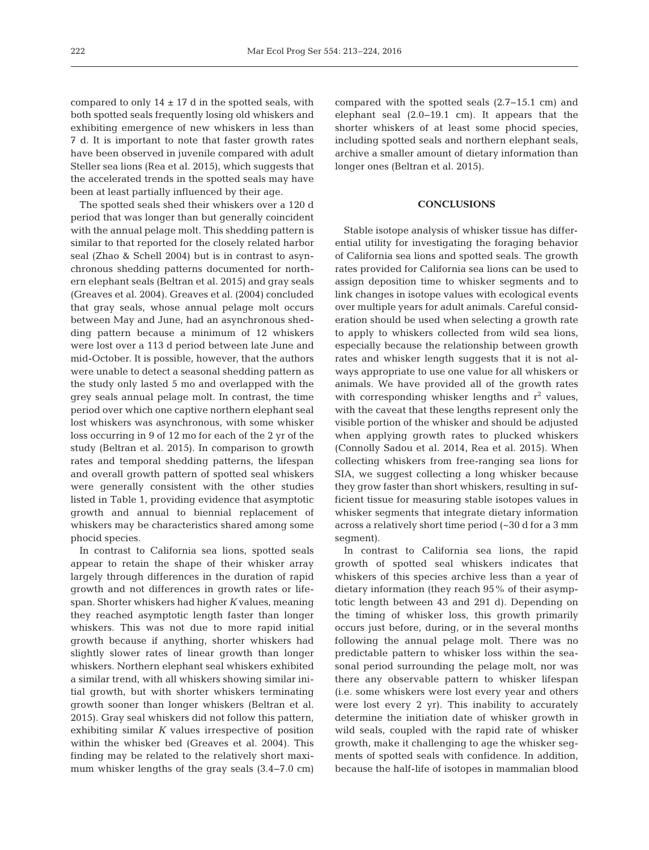compared to only  $14 \pm 17$  d in the spotted seals, with both spotted seals frequently losing old whiskers and exhibiting emergence of new whiskers in less than 7 d. It is important to note that faster growth rates have been observed in juvenile compared with adult Steller sea lions (Rea et al. 2015), which suggests that the accelerated trends in the spotted seals may have been at least partially influenced by their age.

The spotted seals shed their whiskers over a 120 d period that was longer than but generally coincident with the annual pelage molt. This shedding pattern is similar to that reported for the closely related harbor seal (Zhao & Schell 2004) but is in contrast to asynchronous shedding patterns documented for northern elephant seals (Beltran et al. 2015) and gray seals (Greaves et al. 2004). Greaves et al. (2004) concluded that gray seals, whose annual pelage molt occurs between May and June, had an asynchronous shedding pattern because a minimum of 12 whiskers were lost over a 113 d period between late June and mid-October. It is possible, however, that the authors were unable to detect a seasonal shedding pattern as the study only lasted 5 mo and overlapped with the grey seals annual pelage molt. In contrast, the time period over which one captive northern elephant seal lost whiskers was asynchronous, with some whisker loss occurring in 9 of 12 mo for each of the 2 yr of the study (Beltran et al. 2015). In comparison to growth rates and temporal shedding patterns, the lifespan and overall growth pattern of spotted seal whiskers were generally consistent with the other studies listed in Table 1, providing evidence that asymptotic growth and annual to biennial replacement of whiskers may be characteristics shared among some phocid species.

In contrast to California sea lions, spotted seals appear to retain the shape of their whisker array largely through differences in the duration of rapid growth and not differences in growth rates or lifespan. Shorter whiskers had higher *K* values, meaning they reached asymptotic length faster than longer whiskers. This was not due to more rapid initial growth because if anything, shorter whiskers had slightly slower rates of linear growth than longer whiskers. Northern elephant seal whiskers exhibited a similar trend, with all whiskers showing similar initial growth, but with shorter whiskers terminating growth sooner than longer whiskers (Beltran et al. 2015). Gray seal whiskers did not follow this pattern, exhibiting similar *K* values irrespective of position within the whisker bed (Greaves et al. 2004). This finding may be related to the relatively short maximum whisker lengths of the gray seals (3.4−7.0 cm)

compared with the spotted seals (2.7−15.1 cm) and elephant seal (2.0−19.1 cm). It appears that the shorter whiskers of at least some phocid species, including spotted seals and northern elephant seals, archive a smaller amount of dietary information than longer ones (Beltran et al. 2015).

## **CONCLUSIONS**

Stable isotope analysis of whisker tissue has differential utility for investigating the foraging behavior of California sea lions and spotted seals. The growth rates provided for California sea lions can be used to assign deposition time to whisker segments and to link changes in isotope values with ecological events over multiple years for adult animals. Careful consideration should be used when selecting a growth rate to apply to whiskers collected from wild sea lions, especially because the relationship between growth rates and whisker length suggests that it is not always appropriate to use one value for all whiskers or animals. We have provided all of the growth rates with corresponding whisker lengths and  $r^2$  values, with the caveat that these lengths represent only the visible portion of the whisker and should be adjusted when applying growth rates to plucked whiskers (Connolly Sadou et al. 2014, Rea et al. 2015). When collecting whiskers from free-ranging sea lions for SIA, we suggest collecting a long whisker because they grow faster than short whiskers, resulting in sufficient tissue for measuring stable isotopes values in whisker segments that integrate dietary information across a relatively short time period (~30 d for a 3 mm segment).

In contrast to California sea lions, the rapid growth of spotted seal whiskers indicates that whiskers of this species archive less than a year of dietary information (they reach 95% of their asymptotic length between 43 and 291 d). Depending on the timing of whisker loss, this growth primarily occurs just before, during, or in the several months following the annual pelage molt. There was no predictable pattern to whisker loss within the seasonal period surrounding the pelage molt, nor was there any observable pattern to whisker lifespan (i.e. some whiskers were lost every year and others were lost every 2 yr). This inability to accurately determine the initiation date of whisker growth in wild seals, coupled with the rapid rate of whisker growth, make it challenging to age the whisker segments of spotted seals with confidence. In addition, because the half-life of isotopes in mammalian blood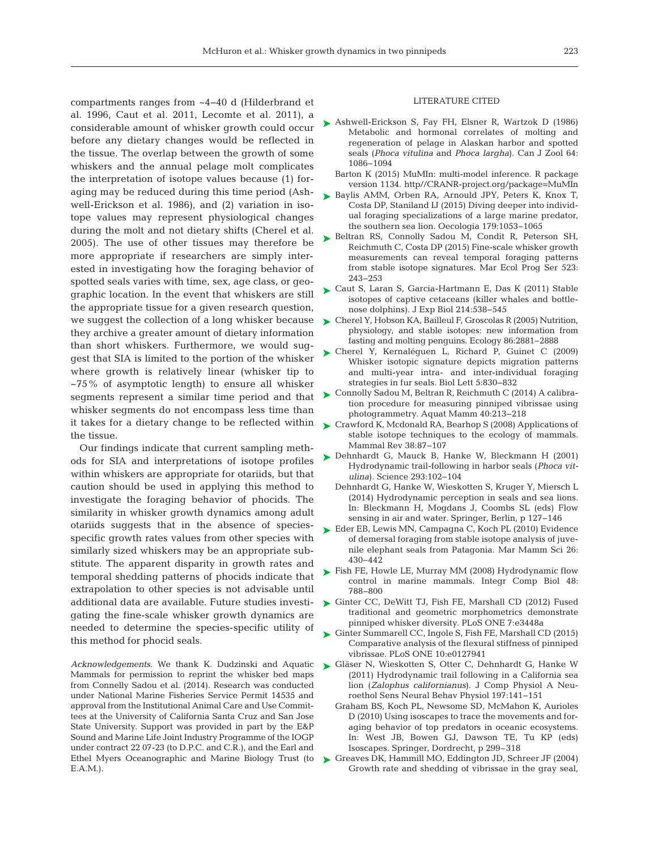compartments ranges from ~4−40 d (Hilderbrand et al. 1996, Caut et al. 2011, Lecomte et al. 2011), a considerable amount of whisker growth could occur before any dietary changes would be reflected in the tissue. The overlap between the growth of some whiskers and the annual pelage molt complicates the interpretation of isotope values because (1) foraging may be reduced during this time period (Ashwell-Erickson et al. 1986), and (2) variation in isotope values may represent physiological changes during the molt and not dietary shifts (Cherel et al. 2005). The use of other tissues may therefore be more appropriate if researchers are simply interested in investigating how the foraging behavior of spotted seals varies with time, sex, age class, or geographic location. In the event that whiskers are still the appropriate tissue for a given research question, we suggest the collection of a long whisker because they archive a greater amount of dietary information than short whiskers. Furthermore, we would suggest that SIA is limited to the portion of the whisker where growth is relatively linear (whisker tip to ~75% of asymptotic length) to ensure all whisker segments represent a similar time period and that whisker segments do not encompass less time than it takes for a dietary change to be reflected within [Crawford K, Mcdonald RA, Bearhop S \(2008\) Applications of](http://dx.doi.org/10.1111/j.1365-2907.2008.00120.x) the tissue.

Our findings indicate that current sampling methods for SIA and interpretations of isotope profiles within whiskers are appropriate for otariids, but that caution should be used in applying this method to investigate the foraging behavior of phocids. The similarity in whisker growth dynamics among adult otariids suggests that in the absence of speciesspecific growth rates values from other species with similarly sized whiskers may be an appropriate substitute. The apparent disparity in growth rates and temporal shedding patterns of phocids indicate that extrapolation to other species is not advisable until additional data are available. Future studies investigating the fine-scale whisker growth dynamics are needed to determine the species-specific utility of this method for phocid seals.

*Acknowledgements*. We thank K. Dudzinski and Aquatic Mammals for permission to reprint the whisker bed maps from Connelly Sadou et al. (2014). Research was conducted under National Marine Fisheries Service Permit 14535 and approval from the Institutional Animal Care and Use Committees at the University of California Santa Cruz and San Jose State University. Support was provided in part by the E&P Sound and Marine Life Joint Industry Programme of the IOGP under contract 22 07-23 (to D.P.C. and C.R.), and the Earl and Ethel Myers Oceanographic and Marine Biology Trust (to E.A.M.).

#### LITERATURE CITED

- ▶ [Ashwell-Erickson S, Fay FH, Elsner R, Wartzok D \(1986\)](http://dx.doi.org/10.1139/z86-163) Metabolic and hormonal correlates of molting and regeneration of pelage in Alaskan harbor and spotted seals (*Phoca vitulina* and *Phoca largha*). Can J Zool 64: 1086−1094
	- Barton K (2015) MuMIn: multi-model inference. R package version 1134. http//CRANR-project.org/package=MuMIn
- ▶ [Baylis AMM, Orben RA, Arnould JPY, Peters K, Knox T,](http://dx.doi.org/10.1007/s00442-015-3421-4) Costa DP, Staniland IJ (2015) Diving deeper into individual foraging specializations of a large marine predator, the southern sea lion. Oecologia 179: 1053−1065
- ▶ [Beltran RS, Connolly Sadou M, Condit R, Peterson SH,](http://dx.doi.org/10.3354/meps11176) Reichmuth C, Costa DP (2015) Fine-scale whisker growth measurements can reveal temporal foraging patterns from stable isotope signatures. Mar Ecol Prog Ser 523: 243−253
- ► [Caut S, Laran S, Garcia-Hartmann E, Das K \(2011\) Stable](http://dx.doi.org/10.1242/jeb.045104) isotopes of captive cetaceans (killer whales and bottlenose dolphins). J Exp Biol 214: 538−545
- [Cherel Y, Hobson KA, Bailleul F, Groscolas R \(2005\) Nutrition,](http://dx.doi.org/10.1890/05-0562) ➤ physiology, and stable isotopes: new information from fasting and molting penguins. Ecology 86:2881-2888
- [Cherel Y, Kernaléguen L, Richard P, Guinet C \(2009\)](http://dx.doi.org/10.1098/rsbl.2009.0552) ➤ Whisker isotopic signature depicts migration patterns and multi-year intra- and inter-individual foraging strategies in fur seals. Biol Lett 5: 830−832
- ► [Connolly Sadou M, Beltran R, Reichmuth C \(2014\) A calibra](http://dx.doi.org/10.1578/AM.40.2.2014.213)tion procedure for measuring pinniped vibrissae using photogrammetry. Aquat Mamm 40:213−218
- stable isotope techniques to the ecology of mammals. Mammal Rev 38:87-107
- ▶ [Dehnhardt G, Mauck B, Hanke W, Bleckmann H \(2001\)](http://dx.doi.org/10.1126/science.1060514) Hydrodynamic trail-following in harbor seals (*Phoca vitulina*). Science 293: 102−104
	- Dehnhardt G, Hanke W, Wieskotten S, Kruger Y, Miersch L (2014) Hydrodynamic perception in seals and sea lions. In: Bleckmann H, Mogdans J, Coombs SL (eds) Flow sensing in air and water. Springer, Berlin, p 127−146
- ► [Eder EB, Lewis MN, Campagna C, Koch PL \(2010\) Evidence](http://dx.doi.org/10.1111/j.1748-7692.2009.00347.x) of demersal foraging from stable isotope analysis of juvenile elephant seals from Patagonia. Mar Mamm Sci 26: 430−442
- ► [Fish FE, Howle LE, Murray MM \(2008\) Hydrodynamic flow](http://dx.doi.org/10.1093/icb/icn029) control in marine mammals. Integr Comp Biol 48: 788−800
- ▶ [Ginter CC, DeWitt TJ, Fish FE, Marshall CD \(2012\) Fused](http://dx.doi.org/10.1371/journal.pone.0034481) traditional and geometric morphometrics demonstrate pinniped whisker diversity. PLoS ONE 7: e3448a
- ► [Ginter Summarell CC, Ingole S, Fish FE, Marshall CD \(2015\)](http://dx.doi.org/10.1371/journal.pone.0127941) Comparative analysis of the flexural stiffness of pinniped vibrissae. PLoS ONE 10:e0127941
- ▶ [Gläser N, Wieskotten S, Otter C, Dehnhardt G, Hanke W](http://dx.doi.org/10.1007/s00359-010-0594-5) (2011) Hydrodynamic trail following in a California sea lion (*Zalophus californianus*). J Comp Physiol A Neuroethol Sens Neural Behav Physiol 197: 141−151
	- Graham BS, Koch PL, Newsome SD, McMahon K, Aurioles D (2010) Using isoscapes to trace the movements and foraging behavior of top predators in oceanic ecosystems. In: West JB, Bowen GJ, Dawson TE, Tu KP (eds) Isoscapes. Springer, Dordrecht, p 299–318
- ► [Greaves DK, Hammill MO, Eddington JD, Schreer JF \(2004\)](http://dx.doi.org/10.1111/j.1748-7692.2004.tb01158.x) Growth rate and shedding of vibrissae in the gray seal,